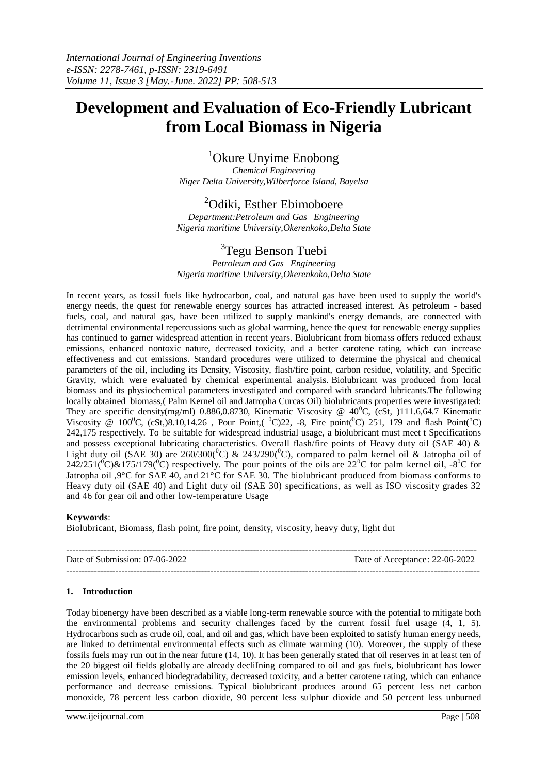# **Development and Evaluation of Eco-Friendly Lubricant from Local Biomass in Nigeria**

# <sup>1</sup>Okure Unyime Enobong

*Chemical Engineering Niger Delta University,Wilberforce Island, Bayelsa*

# <sup>2</sup>Odiki, Esther Ebimoboere

*Department:Petroleum and Gas Engineering Nigeria maritime University,Okerenkoko,Delta State*

# <sup>3</sup>Tegu Benson Tuebi

*Petroleum and Gas Engineering Nigeria maritime University,Okerenkoko,Delta State*

In recent years, as fossil fuels like hydrocarbon, coal, and natural gas have been used to supply the world's energy needs, the quest for renewable energy sources has attracted increased interest. As petroleum - based fuels, coal, and natural gas, have been utilized to supply mankind's energy demands, are connected with detrimental environmental repercussions such as global warming, hence the quest for renewable energy supplies has continued to garner widespread attention in recent years. Biolubricant from biomass offers reduced exhaust emissions, enhanced nontoxic nature, decreased toxicity, and a better carotene rating, which can increase effectiveness and cut emissions. Standard procedures were utilized to determine the physical and chemical parameters of the oil, including its Density, Viscosity, flash/fire point, carbon residue, volatility, and Specific Gravity, which were evaluated by chemical experimental analysis. Biolubricant was produced from local biomass and its physiochemical parameters investigated and compared with srandard lubricants.The following locally obtained biomass,( Palm Kernel oil and Jatropha Curcas Oil) biolubricants properties were investigated: They are specific density(mg/ml) 0.886,0.8730, Kinematic Viscosity @  $40^{\circ}$ C, (cSt, )111.6,64.7 Kinematic Viscosity @ 100<sup>0</sup>C, (cSt,)8.10,14.26, Pour Point,(  $^0$ C)22, -8, Fire point( $^0$ C) 251, 179 and flash Point( $^0$ C) 242,175 respectively. To be suitable for widespread industrial usage, a biolubricant must meet t Specifications and possess exceptional lubricating characteristics. Overall flash/fire points of Heavy duty oil (SAE 40) & Light duty oil (SAE 30) are  $260/300(^{0}C)$  &  $243/290(^{0}C)$ , compared to palm kernel oil & Jatropha oil of  $242/251(^{0}C)\&175/179(^{0}C)$  respectively. The pour points of the oils are  $22^{0}C$  for palm kernel oil,  $-8^{0}C$  for Jatropha oil ,9°C for SAE 40, and 21°C for SAE 30. The biolubricant produced from biomass conforms to Heavy duty oil (SAE 40) and Light duty oil (SAE 30) specifications, as well as ISO viscosity grades 32 and 46 for gear oil and other low-temperature Usage

#### **Keywords**:

Biolubricant, Biomass, flash point, fire point, density, viscosity, heavy duty, light dut

| Date of Submission: 07-06-2022 | Date of Acceptance: 22-06-2022 |
|--------------------------------|--------------------------------|
|                                |                                |

#### **1. Introduction**

Today bioenergy have been described as a viable long-term renewable source with the potential to mitigate both the environmental problems and security challenges faced by the current fossil fuel usage (4, 1, 5). Hydrocarbons such as crude oil, coal, and oil and gas, which have been exploited to satisfy human energy needs, are linked to detrimental environmental effects such as climate warming (10). Moreover, the supply of these fossils fuels may run out in the near future (14, 10). It has been generally stated that oil reserves in at least ten of the 20 biggest oil fields globally are already decliIning compared to oil and gas fuels, biolubricant has lower emission levels, enhanced biodegradability, decreased toxicity, and a better carotene rating, which can enhance performance and decrease emissions. Typical biolubricant produces around 65 percent less net carbon monoxide, 78 percent less carbon dioxide, 90 percent less sulphur dioxide and 50 percent less unburned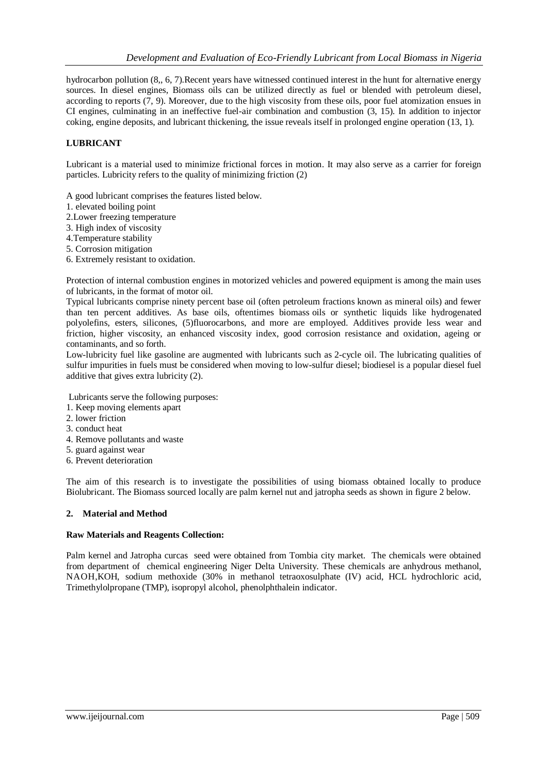hydrocarbon pollution (8,, 6, 7).Recent years have witnessed continued interest in the hunt for alternative energy sources. In diesel engines, Biomass oils can be utilized directly as fuel or blended with petroleum diesel, according to reports (7, 9). Moreover, due to the high viscosity from these oils, poor fuel atomization ensues in CI engines, culminating in an ineffective fuel-air combination and combustion (3, 15). In addition to injector coking, engine deposits, and lubricant thickening, the issue reveals itself in prolonged engine operation (13, 1).

#### **LUBRICANT**

Lubricant is a material used to minimize frictional forces in motion. It may also serve as a carrier for foreign particles. Lubricity refers to the quality of minimizing friction (2)

A good lubricant comprises the features listed below.

- 1. elevated boiling point
- 2.Lower freezing temperature
- 3. High index of viscosity
- 4.Temperature stability
- 5. Corrosion mitigation
- 6. Extremely resistant to oxidation.

Protection of internal combustion engines in motorized vehicles and powered equipment is among the main uses of lubricants, in the format of motor oil.

Typical lubricants comprise ninety percent base oil (often petroleum fractions known as mineral oils) and fewer than ten percent additives. As base oils, oftentimes biomass oils or synthetic liquids like hydrogenated polyolefins, esters, silicones, (5)fluorocarbons, and more are employed. Additives provide less wear and friction, higher viscosity, an enhanced viscosity index, good corrosion resistance and oxidation, ageing or contaminants, and so forth.

Low-lubricity fuel like gasoline are augmented with lubricants such as 2-cycle oil. The lubricating qualities of sulfur impurities in fuels must be considered when moving to low-sulfur diesel; biodiesel is a popular diesel fuel additive that gives extra lubricity (2).

Lubricants serve the following purposes:

- 1. Keep moving elements apart
- 2. lower friction
- 3. conduct heat
- 4. Remove pollutants and waste
- 5. guard against wear
- 6. Prevent deterioration

The aim of this research is to investigate the possibilities of using biomass obtained locally to produce Biolubricant. The Biomass sourced locally are palm kernel nut and jatropha seeds as shown in figure 2 below.

#### **2. Material and Method**

#### **Raw Materials and Reagents Collection:**

Palm kernel and Jatropha curcas seed were obtained from Tombia city market. The chemicals were obtained from department of chemical engineering Niger Delta University. These chemicals are anhydrous methanol, NAOH,KOH, sodium methoxide (30% in methanol tetraoxosulphate (IV) acid, HCL hydrochloric acid, Trimethylolpropane (TMP), isopropyl alcohol, phenolphthalein indicator.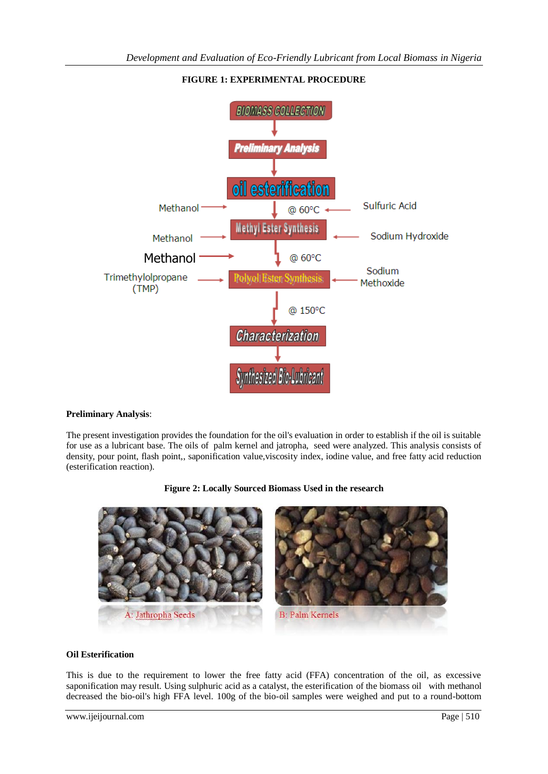

# **FIGURE 1: EXPERIMENTAL PROCEDURE**

### **Preliminary Analysis**:

The present investigation provides the foundation for the oil's evaluation in order to establish if the oil is suitable for use as a lubricant base. The oils of palm kernel and jatropha, seed were analyzed. This analysis consists of density, pour point, flash point,, saponification value, viscosity index, iodine value, and free fatty acid reduction (esterification reaction).



### **Figure 2: Locally Sourced Biomass Used in the research**

#### **Oil Esterification**

This is due to the requirement to lower the free fatty acid (FFA) concentration of the oil, as excessive saponification may result. Using sulphuric acid as a catalyst, the esterification of the biomass oil with methanol decreased the bio-oil's high FFA level. 100g of the bio-oil samples were weighed and put to a round-bottom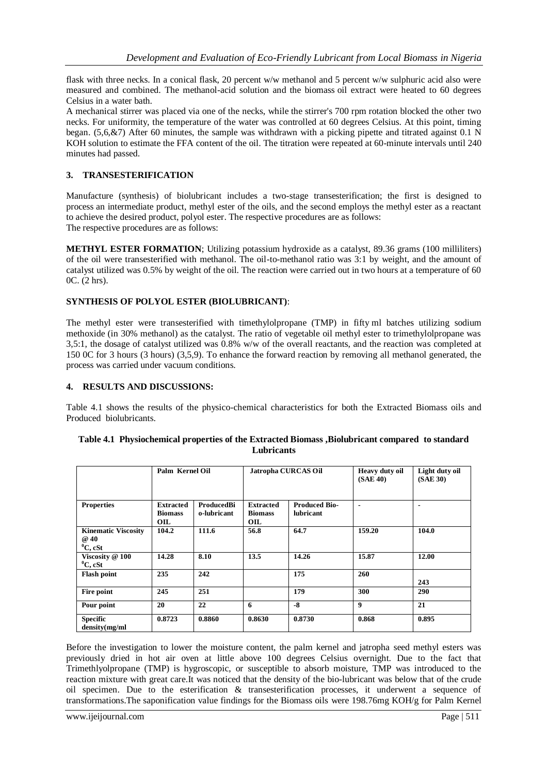flask with three necks. In a conical flask, 20 percent w/w methanol and 5 percent w/w sulphuric acid also were measured and combined. The methanol-acid solution and the biomass oil extract were heated to 60 degrees Celsius in a water bath.

A mechanical stirrer was placed via one of the necks, while the stirrer's 700 rpm rotation blocked the other two necks. For uniformity, the temperature of the water was controlled at 60 degrees Celsius. At this point, timing began. (5,6,&7) After 60 minutes, the sample was withdrawn with a picking pipette and titrated against 0.1 N KOH solution to estimate the FFA content of the oil. The titration were repeated at 60-minute intervals until 240 minutes had passed.

# **3. TRANSESTERIFICATION**

Manufacture (synthesis) of biolubricant includes a two-stage transesterification; the first is designed to process an intermediate product, methyl ester of the oils, and the second employs the methyl ester as a reactant to achieve the desired product, polyol ester. The respective procedures are as follows: The respective procedures are as follows:

**METHYL ESTER FORMATION**; Utilizing potassium hydroxide as a catalyst, 89.36 grams (100 milliliters) of the oil were transesterified with methanol. The oil-to-methanol ratio was 3:1 by weight, and the amount of catalyst utilized was 0.5% by weight of the oil. The reaction were carried out in two hours at a temperature of 60 0C. (2 hrs).

### **SYNTHESIS OF POLYOL ESTER (BIOLUBRICANT)**:

The methyl ester were transesterified with timethylolpropane (TMP) in fifty ml batches utilizing sodium methoxide (in 30% methanol) as the catalyst. The ratio of vegetable oil methyl ester to trimethylolpropane was 3,5:1, the dosage of catalyst utilized was 0.8% w/w of the overall reactants, and the reaction was completed at 150 0C for 3 hours (3 hours) (3,5,9). To enhance the forward reaction by removing all methanol generated, the process was carried under vacuum conditions.

#### **4. RESULTS AND DISCUSSIONS:**

Table 4.1 shows the results of the physico-chemical characteristics for both the Extracted Biomass oils and Produced biolubricants.

|                                                   | Palm Kernel Oil                           |                           | Jatropha CURCAS Oil                       |                                          | Heavy duty oil<br>(SAE 40) | Light duty oil<br>(SAE 30) |
|---------------------------------------------------|-------------------------------------------|---------------------------|-------------------------------------------|------------------------------------------|----------------------------|----------------------------|
| <b>Properties</b>                                 | <b>Extracted</b><br><b>Biomass</b><br>OIL | ProducedBi<br>o-lubricant | <b>Extracted</b><br><b>Biomass</b><br>OIL | <b>Produced Bio-</b><br><b>lubricant</b> | $\blacksquare$             |                            |
| <b>Kinematic Viscosity</b><br>@ 40<br>$^0C$ , cSt | 104.2                                     | 111.6                     | 56.8                                      | 64.7                                     | 159.20                     | 104.0                      |
| Viscosity @ 100<br>$^0C$ , cSt                    | 14.28                                     | 8.10                      | 13.5                                      | 14.26                                    | 15.87                      | 12.00                      |
| <b>Flash point</b>                                | 235                                       | 242                       |                                           | 175                                      | 260                        | 243                        |
| Fire point                                        | 245                                       | 251                       |                                           | 179                                      | 300                        | 290                        |
| Pour point                                        | 20                                        | 22                        | 6                                         | $-8$                                     | 9                          | 21                         |
| <b>Specific</b><br>density(mg/ml)                 | 0.8723                                    | 0.8860                    | 0.8630                                    | 0.8730                                   | 0.868                      | 0.895                      |

| Table 4.1 Physiochemical properties of the Extracted Biomass , Biolubricant compared to standard |  |
|--------------------------------------------------------------------------------------------------|--|
| Lubricants                                                                                       |  |

Before the investigation to lower the moisture content, the palm kernel and jatropha seed methyl esters was previously dried in hot air oven at little above 100 degrees Celsius overnight. Due to the fact that Trimethlyolpropane (TMP) is hygroscopic, or susceptible to absorb moisture, TMP was introduced to the reaction mixture with great care.It was noticed that the density of the bio-lubricant was below that of the crude oil specimen. Due to the esterification & transesterification processes, it underwent a sequence of transformations.The saponification value findings for the Biomass oils were 198.76mg KOH/g for Palm Kernel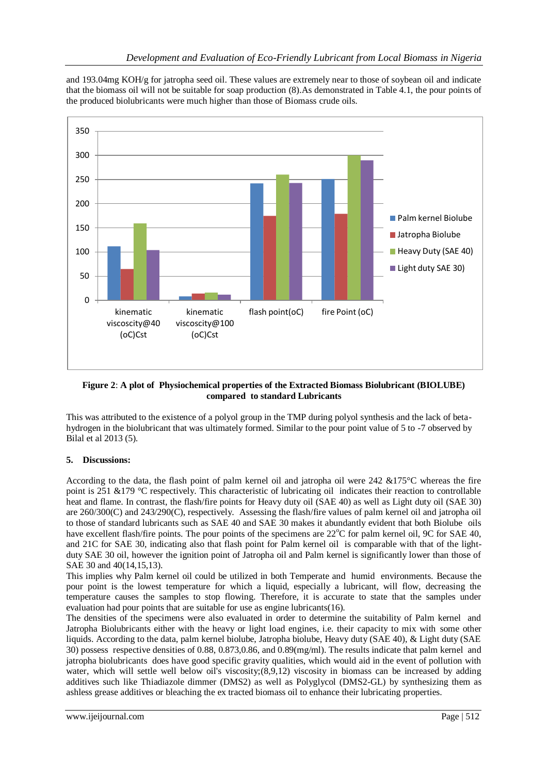and 193.04mg KOH/g for jatropha seed oil. These values are extremely near to those of soybean oil and indicate that the biomass oil will not be suitable for soap production (8).As demonstrated in Table 4.1, the pour points of the produced biolubricants were much higher than those of Biomass crude oils.



**Figure 2**: **A plot of Physiochemical properties of the Extracted Biomass Biolubricant (BIOLUBE) compared to standard Lubricants**

This was attributed to the existence of a polyol group in the TMP during polyol synthesis and the lack of betahydrogen in the biolubricant that was ultimately formed. Similar to the pour point value of 5 to -7 observed by Bilal et al 2013 (5).

# **5. Discussions:**

According to the data, the flash point of palm kernel oil and jatropha oil were 242 &175°C whereas the fire point is 251 &179 °C respectively. This characteristic of lubricating oil indicates their reaction to controllable heat and flame. In contrast, the flash/fire points for Heavy duty oil (SAE 40) as well as Light duty oil (SAE 30) are 260/300(C) and 243/290(C), respectively. Assessing the flash/fire values of palm kernel oil and jatropha oil to those of standard lubricants such as SAE 40 and SAE 30 makes it abundantly evident that both Biolube oils have excellent flash/fire points. The pour points of the specimens are  $22^{\circ}C$  for palm kernel oil, 9C for SAE 40, and 21C for SAE 30, indicating also that flash point for Palm kernel oil is comparable with that of the lightduty SAE 30 oil, however the ignition point of Jatropha oil and Palm kernel is significantly lower than those of SAE 30 and 40(14,15,13).

This implies why Palm kernel oil could be utilized in both Temperate and humid environments. Because the pour point is the lowest temperature for which a liquid, especially a lubricant, will flow, decreasing the temperature causes the samples to stop flowing. Therefore, it is accurate to state that the samples under evaluation had pour points that are suitable for use as engine lubricants(16).

The densities of the specimens were also evaluated in order to determine the suitability of Palm kernel and Jatropha Biolubricants either with the heavy or light load engines, i.e. their capacity to mix with some other liquids. According to the data, palm kernel biolube, Jatropha biolube, Heavy duty (SAE 40), & Light duty (SAE 30) possess respective densities of 0.88, 0.873,0.86, and 0.89(mg/ml). The results indicate that palm kernel and jatropha biolubricants does have good specific gravity qualities, which would aid in the event of pollution with water, which will settle well below oil's viscosity;(8,9,12) viscosity in biomass can be increased by adding additives such like Thiadiazole dimmer (DMS2) as well as Polyglycol (DMS2-GL) by synthesizing them as ashless grease additives or bleaching the ex tracted biomass oil to enhance their lubricating properties.